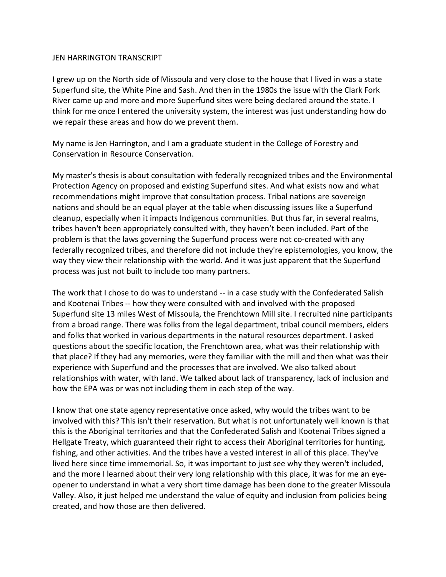## JEN HARRINGTON TRANSCRIPT

I grew up on the North side of Missoula and very close to the house that I lived in was a state Superfund site, the White Pine and Sash. And then in the 1980s the issue with the Clark Fork River came up and more and more Superfund sites were being declared around the state. I think for me once I entered the university system, the interest was just understanding how do we repair these areas and how do we prevent them.

My name is Jen Harrington, and I am a graduate student in the College of Forestry and Conservation in Resource Conservation.

My master's thesis is about consultation with federally recognized tribes and the Environmental Protection Agency on proposed and existing Superfund sites. And what exists now and what recommendations might improve that consultation process. Tribal nations are sovereign nations and should be an equal player at the table when discussing issues like a Superfund cleanup, especially when it impacts Indigenous communities. But thus far, in several realms, tribes haven't been appropriately consulted with, they haven't been included. Part of the problem is that the laws governing the Superfund process were not co-created with any federally recognized tribes, and therefore did not include they're epistemologies, you know, the way they view their relationship with the world. And it was just apparent that the Superfund process was just not built to include too many partners.

The work that I chose to do was to understand -- in a case study with the Confederated Salish and Kootenai Tribes -- how they were consulted with and involved with the proposed Superfund site 13 miles West of Missoula, the Frenchtown Mill site. I recruited nine participants from a broad range. There was folks from the legal department, tribal council members, elders and folks that worked in various departments in the natural resources department. I asked questions about the specific location, the Frenchtown area, what was their relationship with that place? If they had any memories, were they familiar with the mill and then what was their experience with Superfund and the processes that are involved. We also talked about relationships with water, with land. We talked about lack of transparency, lack of inclusion and how the EPA was or was not including them in each step of the way.

I know that one state agency representative once asked, why would the tribes want to be involved with this? This isn't their reservation. But what is not unfortunately well known is that this is the Aboriginal territories and that the Confederated Salish and Kootenai Tribes signed a Hellgate Treaty, which guaranteed their right to access their Aboriginal territories for hunting, fishing, and other activities. And the tribes have a vested interest in all of this place. They've lived here since time immemorial. So, it was important to just see why they weren't included, and the more I learned about their very long relationship with this place, it was for me an eyeopener to understand in what a very short time damage has been done to the greater Missoula Valley. Also, it just helped me understand the value of equity and inclusion from policies being created, and how those are then delivered.